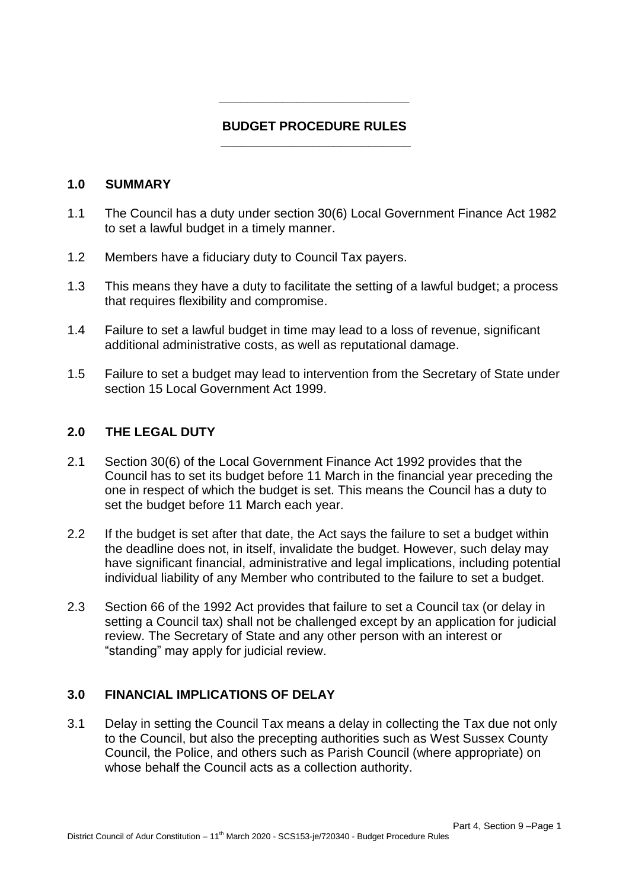### **BUDGET PROCEDURE RULES \_\_\_\_\_\_\_\_\_\_\_\_\_\_\_\_\_\_\_\_\_\_\_\_\_\_\_**

**\_\_\_\_\_\_\_\_\_\_\_\_\_\_\_\_\_\_\_\_\_\_\_\_\_\_\_** 

#### **1.0 SUMMARY**

- 1.1 The Council has a duty under section 30(6) Local Government Finance Act 1982 to set a lawful budget in a timely manner.
- 1.2 Members have a fiduciary duty to Council Tax payers.
- 1.3 This means they have a duty to facilitate the setting of a lawful budget; a process that requires flexibility and compromise.
- 1.4 Failure to set a lawful budget in time may lead to a loss of revenue, significant additional administrative costs, as well as reputational damage.
- 1.5 Failure to set a budget may lead to intervention from the Secretary of State under section 15 Local Government Act 1999.

### **2.0 THE LEGAL DUTY**

- 2.1 Section 30(6) of the Local Government Finance Act 1992 provides that the Council has to set its budget before 11 March in the financial year preceding the one in respect of which the budget is set. This means the Council has a duty to set the budget before 11 March each year.
- 2.2 If the budget is set after that date, the Act says the failure to set a budget within the deadline does not, in itself, invalidate the budget. However, such delay may have significant financial, administrative and legal implications, including potential individual liability of any Member who contributed to the failure to set a budget.
- 2.3 Section 66 of the 1992 Act provides that failure to set a Council tax (or delay in setting a Council tax) shall not be challenged except by an application for judicial review. The Secretary of State and any other person with an interest or "standing" may apply for judicial review.

### **3.0 FINANCIAL IMPLICATIONS OF DELAY**

3.1 Delay in setting the Council Tax means a delay in collecting the Tax due not only to the Council, but also the precepting authorities such as West Sussex County Council, the Police, and others such as Parish Council (where appropriate) on whose behalf the Council acts as a collection authority.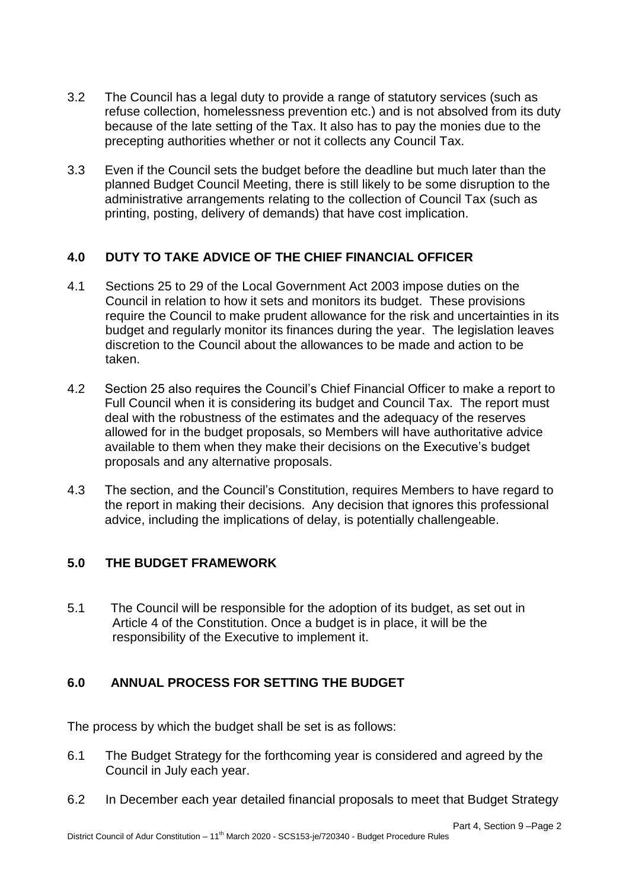- 3.2 The Council has a legal duty to provide a range of statutory services (such as refuse collection, homelessness prevention etc.) and is not absolved from its duty because of the late setting of the Tax. It also has to pay the monies due to the precepting authorities whether or not it collects any Council Tax.
- 3.3 Even if the Council sets the budget before the deadline but much later than the planned Budget Council Meeting, there is still likely to be some disruption to the administrative arrangements relating to the collection of Council Tax (such as printing, posting, delivery of demands) that have cost implication.

# **4.0 DUTY TO TAKE ADVICE OF THE CHIEF FINANCIAL OFFICER**

- 4.1 Sections 25 to 29 of the Local Government Act 2003 impose duties on the Council in relation to how it sets and monitors its budget. These provisions require the Council to make prudent allowance for the risk and uncertainties in its budget and regularly monitor its finances during the year. The legislation leaves discretion to the Council about the allowances to be made and action to be taken.
- 4.2 Section 25 also requires the Council's Chief Financial Officer to make a report to Full Council when it is considering its budget and Council Tax. The report must deal with the robustness of the estimates and the adequacy of the reserves allowed for in the budget proposals, so Members will have authoritative advice available to them when they make their decisions on the Executive's budget proposals and any alternative proposals.
- 4.3 The section, and the Council's Constitution, requires Members to have regard to the report in making their decisions. Any decision that ignores this professional advice, including the implications of delay, is potentially challengeable.

# **5.0 THE BUDGET FRAMEWORK**

5.1 The Council will be responsible for the adoption of its budget, as set out in Article 4 of the Constitution. Once a budget is in place, it will be the responsibility of the Executive to implement it.

# **6.0 ANNUAL PROCESS FOR SETTING THE BUDGET**

The process by which the budget shall be set is as follows:

- 6.1 The Budget Strategy for the forthcoming year is considered and agreed by the Council in July each year.
- 6.2 In December each year detailed financial proposals to meet that Budget Strategy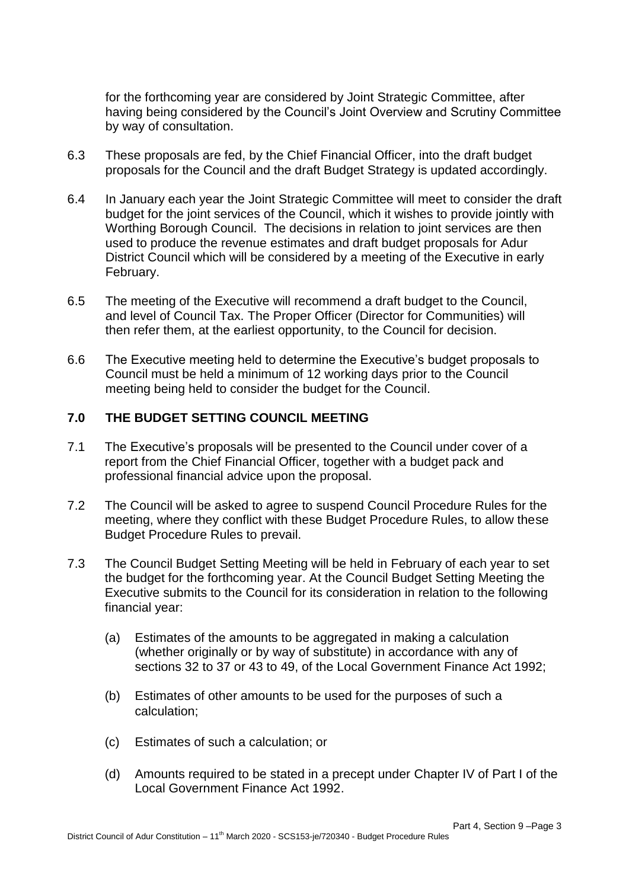for the forthcoming year are considered by Joint Strategic Committee, after having being considered by the Council's Joint Overview and Scrutiny Committee by way of consultation.

- 6.3 These proposals are fed, by the Chief Financial Officer, into the draft budget proposals for the Council and the draft Budget Strategy is updated accordingly.
- 6.4 In January each year the Joint Strategic Committee will meet to consider the draft budget for the joint services of the Council, which it wishes to provide jointly with Worthing Borough Council. The decisions in relation to joint services are then used to produce the revenue estimates and draft budget proposals for Adur District Council which will be considered by a meeting of the Executive in early February.
- 6.5 The meeting of the Executive will recommend a draft budget to the Council, and level of Council Tax. The Proper Officer (Director for Communities) will then refer them, at the earliest opportunity, to the Council for decision.
- 6.6 The Executive meeting held to determine the Executive's budget proposals to Council must be held a minimum of 12 working days prior to the Council meeting being held to consider the budget for the Council.

### **7.0 THE BUDGET SETTING COUNCIL MEETING**

- 7.1 The Executive's proposals will be presented to the Council under cover of a report from the Chief Financial Officer, together with a budget pack and professional financial advice upon the proposal.
- 7.2 The Council will be asked to agree to suspend Council Procedure Rules for the meeting, where they conflict with these Budget Procedure Rules, to allow these Budget Procedure Rules to prevail.
- 7.3 The Council Budget Setting Meeting will be held in February of each year to set the budget for the forthcoming year. At the Council Budget Setting Meeting the Executive submits to the Council for its consideration in relation to the following financial year:
	- (a) Estimates of the amounts to be aggregated in making a calculation (whether originally or by way of substitute) in accordance with any of sections 32 to 37 or 43 to 49, of the Local Government Finance Act 1992;
	- (b) Estimates of other amounts to be used for the purposes of such a calculation;
	- (c) Estimates of such a calculation; or
	- (d) Amounts required to be stated in a precept under Chapter IV of Part I of the Local Government Finance Act 1992.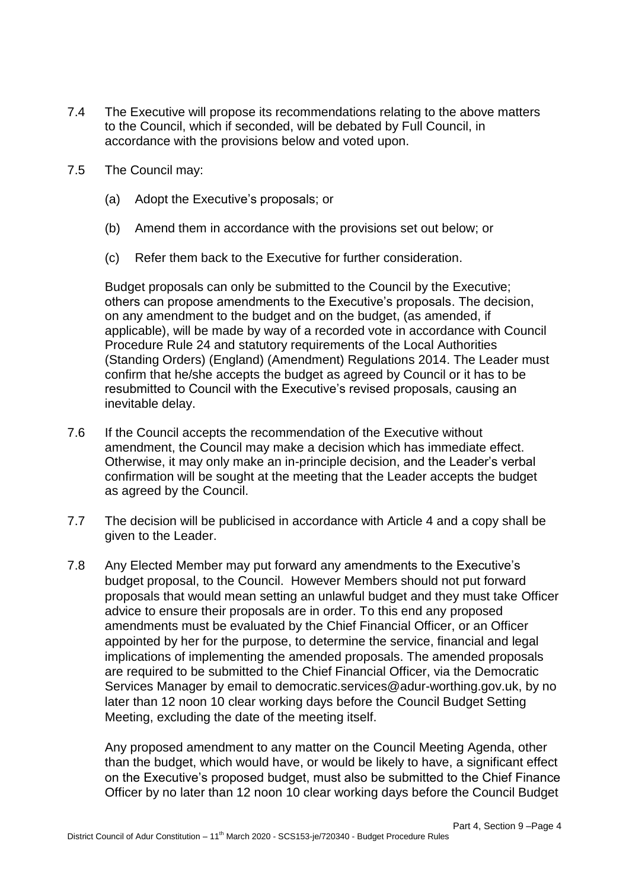- 7.4 The Executive will propose its recommendations relating to the above matters to the Council, which if seconded, will be debated by Full Council, in accordance with the provisions below and voted upon.
- 7.5 The Council may:
	- (a) Adopt the Executive's proposals; or
	- (b) Amend them in accordance with the provisions set out below; or
	- (c) Refer them back to the Executive for further consideration.

Budget proposals can only be submitted to the Council by the Executive; others can propose amendments to the Executive's proposals. The decision, on any amendment to the budget and on the budget, (as amended, if applicable), will be made by way of a recorded vote in accordance with Council Procedure Rule 24 and statutory requirements of the Local Authorities (Standing Orders) (England) (Amendment) Regulations 2014. The Leader must confirm that he/she accepts the budget as agreed by Council or it has to be resubmitted to Council with the Executive's revised proposals, causing an inevitable delay.

- 7.6 If the Council accepts the recommendation of the Executive without amendment, the Council may make a decision which has immediate effect. Otherwise, it may only make an in-principle decision, and the Leader's verbal confirmation will be sought at the meeting that the Leader accepts the budget as agreed by the Council.
- 7.7 The decision will be publicised in accordance with Article 4 and a copy shall be given to the Leader.
- 7.8 Any Elected Member may put forward any amendments to the Executive's budget proposal, to the Council. However Members should not put forward proposals that would mean setting an unlawful budget and they must take Officer advice to ensure their proposals are in order. To this end any proposed amendments must be evaluated by the Chief Financial Officer, or an Officer appointed by her for the purpose, to determine the service, financial and legal implications of implementing the amended proposals. The amended proposals are required to be submitted to the Chief Financial Officer, via the Democratic Services Manager by email to democratic.services@adur-worthing.gov.uk, by no later than 12 noon 10 clear working days before the Council Budget Setting Meeting, excluding the date of the meeting itself.

Any proposed amendment to any matter on the Council Meeting Agenda, other than the budget, which would have, or would be likely to have, a significant effect on the Executive's proposed budget, must also be submitted to the Chief Finance Officer by no later than 12 noon 10 clear working days before the Council Budget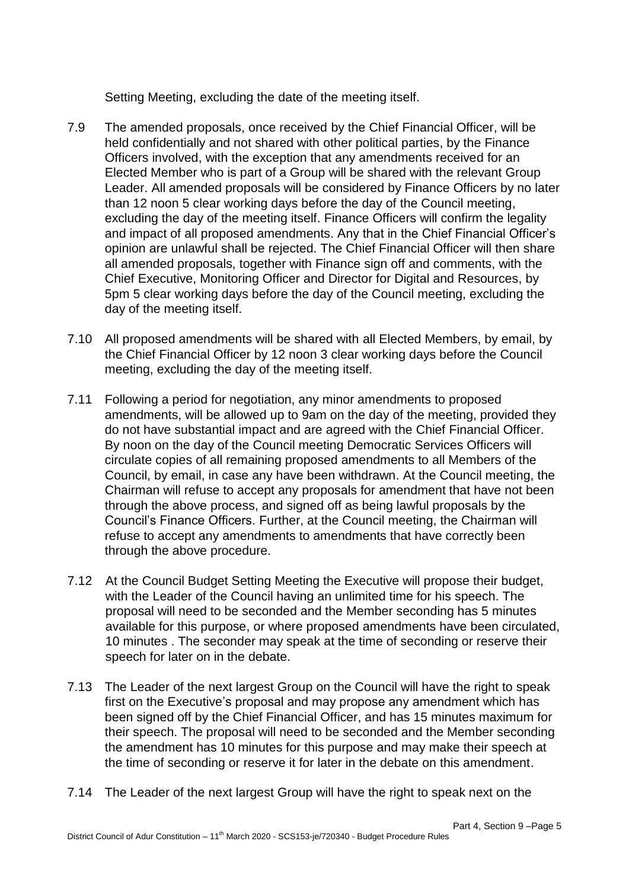Setting Meeting, excluding the date of the meeting itself.

- 7.9 The amended proposals, once received by the Chief Financial Officer, will be held confidentially and not shared with other political parties, by the Finance Officers involved, with the exception that any amendments received for an Elected Member who is part of a Group will be shared with the relevant Group Leader. All amended proposals will be considered by Finance Officers by no later than 12 noon 5 clear working days before the day of the Council meeting, excluding the day of the meeting itself. Finance Officers will confirm the legality and impact of all proposed amendments. Any that in the Chief Financial Officer's opinion are unlawful shall be rejected. The Chief Financial Officer will then share all amended proposals, together with Finance sign off and comments, with the Chief Executive, Monitoring Officer and Director for Digital and Resources, by 5pm 5 clear working days before the day of the Council meeting, excluding the day of the meeting itself.
- 7.10 All proposed amendments will be shared with all Elected Members, by email, by the Chief Financial Officer by 12 noon 3 clear working days before the Council meeting, excluding the day of the meeting itself.
- 7.11 Following a period for negotiation, any minor amendments to proposed amendments, will be allowed up to 9am on the day of the meeting, provided they do not have substantial impact and are agreed with the Chief Financial Officer. By noon on the day of the Council meeting Democratic Services Officers will circulate copies of all remaining proposed amendments to all Members of the Council, by email, in case any have been withdrawn. At the Council meeting, the Chairman will refuse to accept any proposals for amendment that have not been through the above process, and signed off as being lawful proposals by the Council's Finance Officers. Further, at the Council meeting, the Chairman will refuse to accept any amendments to amendments that have correctly been through the above procedure.
- 7.12 At the Council Budget Setting Meeting the Executive will propose their budget, with the Leader of the Council having an unlimited time for his speech. The proposal will need to be seconded and the Member seconding has 5 minutes available for this purpose, or where proposed amendments have been circulated, 10 minutes . The seconder may speak at the time of seconding or reserve their speech for later on in the debate.
- 7.13 The Leader of the next largest Group on the Council will have the right to speak first on the Executive's proposal and may propose any amendment which has been signed off by the Chief Financial Officer, and has 15 minutes maximum for their speech. The proposal will need to be seconded and the Member seconding the amendment has 10 minutes for this purpose and may make their speech at the time of seconding or reserve it for later in the debate on this amendment.
- 7.14 The Leader of the next largest Group will have the right to speak next on the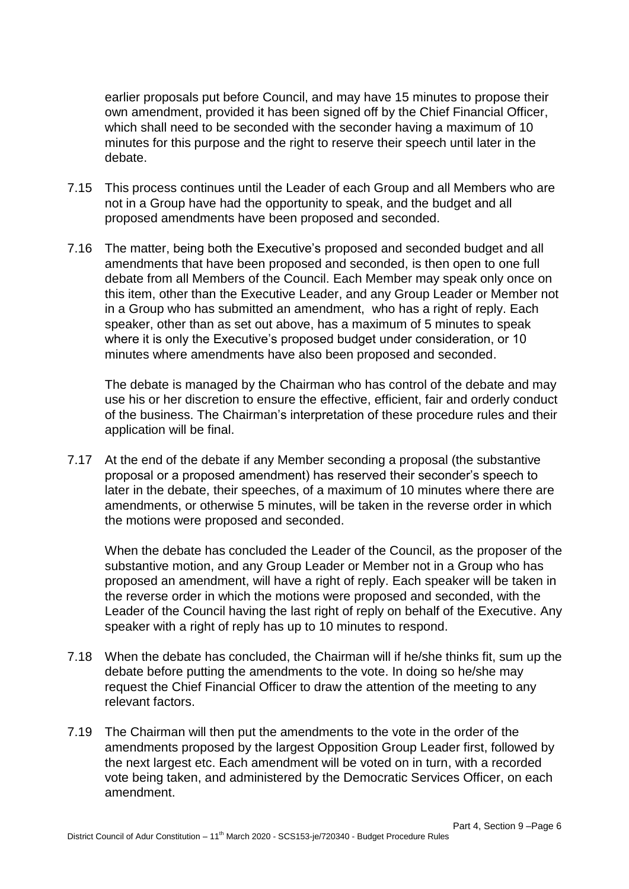earlier proposals put before Council, and may have 15 minutes to propose their own amendment, provided it has been signed off by the Chief Financial Officer, which shall need to be seconded with the seconder having a maximum of 10 minutes for this purpose and the right to reserve their speech until later in the debate.

- 7.15 This process continues until the Leader of each Group and all Members who are not in a Group have had the opportunity to speak, and the budget and all proposed amendments have been proposed and seconded.
- 7.16 The matter, being both the Executive's proposed and seconded budget and all amendments that have been proposed and seconded, is then open to one full debate from all Members of the Council. Each Member may speak only once on this item, other than the Executive Leader, and any Group Leader or Member not in a Group who has submitted an amendment, who has a right of reply. Each speaker, other than as set out above, has a maximum of 5 minutes to speak where it is only the Executive's proposed budget under consideration, or 10 minutes where amendments have also been proposed and seconded.

The debate is managed by the Chairman who has control of the debate and may use his or her discretion to ensure the effective, efficient, fair and orderly conduct of the business. The Chairman's interpretation of these procedure rules and their application will be final.

7.17 At the end of the debate if any Member seconding a proposal (the substantive proposal or a proposed amendment) has reserved their seconder's speech to later in the debate, their speeches, of a maximum of 10 minutes where there are amendments, or otherwise 5 minutes, will be taken in the reverse order in which the motions were proposed and seconded.

When the debate has concluded the Leader of the Council, as the proposer of the substantive motion, and any Group Leader or Member not in a Group who has proposed an amendment, will have a right of reply. Each speaker will be taken in the reverse order in which the motions were proposed and seconded, with the Leader of the Council having the last right of reply on behalf of the Executive. Any speaker with a right of reply has up to 10 minutes to respond.

- 7.18 When the debate has concluded, the Chairman will if he/she thinks fit, sum up the debate before putting the amendments to the vote. In doing so he/she may request the Chief Financial Officer to draw the attention of the meeting to any relevant factors.
- 7.19 The Chairman will then put the amendments to the vote in the order of the amendments proposed by the largest Opposition Group Leader first, followed by the next largest etc. Each amendment will be voted on in turn, with a recorded vote being taken, and administered by the Democratic Services Officer, on each amendment.